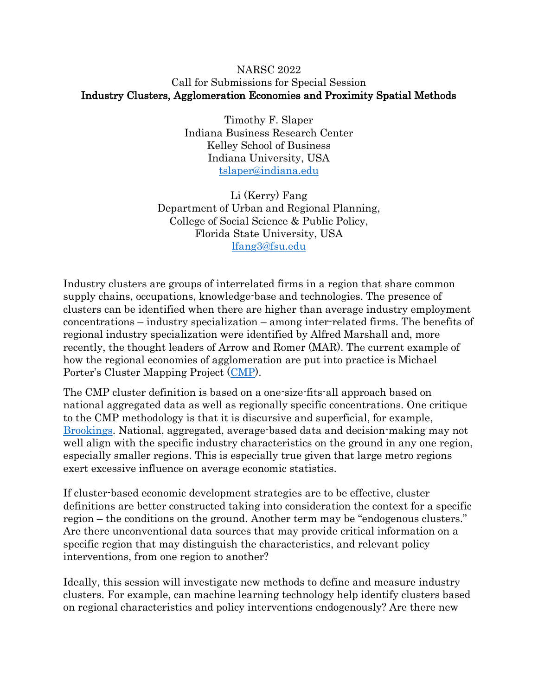## NARSC 2022 Call for Submissions for Special Session Industry Clusters, Agglomeration Economies and Proximity Spatial Methods

Timothy F. Slaper Indiana Business Research Center Kelley School of Business Indiana University, USA [tslaper@indiana.edu](mailto:tslaper@indiana.edu)

Li (Kerry) Fang Department of Urban and Regional Planning, College of Social Science & Public Policy, Florida State University, USA [lfang3@fsu.edu](mailto:lfang3@fsu.edu)

Industry clusters are groups of interrelated firms in a region that share common supply chains, occupations, knowledge-base and technologies. The presence of clusters can be identified when there are higher than average industry employment concentrations – industry specialization – among inter-related firms. The benefits of regional industry specialization were identified by Alfred Marshall and, more recently, the thought leaders of Arrow and Romer (MAR). The current example of how the regional economies of agglomeration are put into practice is Michael Porter's Cluster Mapping Project ([CMP\)](https://clustermapping.us/).

The CMP cluster definition is based on a one-size-fits-all approach based on national aggregated data as well as regionally specific concentrations. One critique to the CMP methodology is that it is discursive and superficial, for example, [Brookings.](https://www.brookings.edu/research/rethinking-cluster-initiatives/) National, aggregated, average-based data and decision-making may not well align with the specific industry characteristics on the ground in any one region, especially smaller regions. This is especially true given that large metro regions exert excessive influence on average economic statistics.

If cluster-based economic development strategies are to be effective, cluster definitions are better constructed taking into consideration the context for a specific region – the conditions on the ground. Another term may be "endogenous clusters." Are there unconventional data sources that may provide critical information on a specific region that may distinguish the characteristics, and relevant policy interventions, from one region to another?

Ideally, this session will investigate new methods to define and measure industry clusters. For example, can machine learning technology help identify clusters based on regional characteristics and policy interventions endogenously? Are there new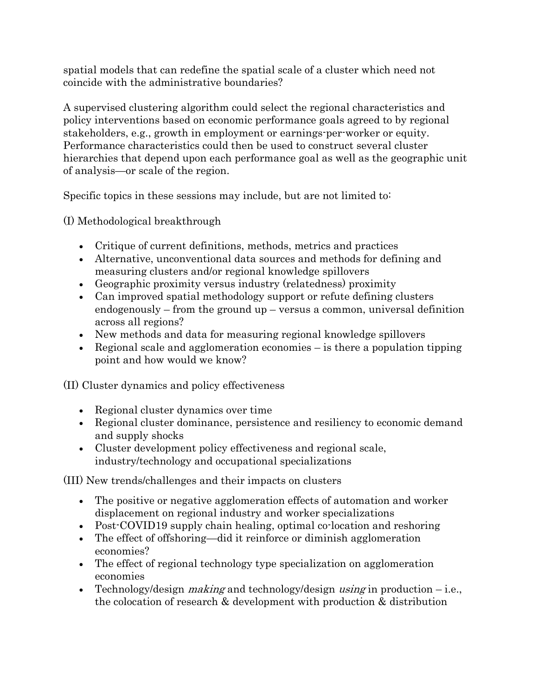spatial models that can redefine the spatial scale of a cluster which need not coincide with the administrative boundaries?

A supervised clustering algorithm could select the regional characteristics and policy interventions based on economic performance goals agreed to by regional stakeholders, e.g., growth in employment or earnings-per-worker or equity. Performance characteristics could then be used to construct several cluster hierarchies that depend upon each performance goal as well as the geographic unit of analysis—or scale of the region.

Specific topics in these sessions may include, but are not limited to:

(I) Methodological breakthrough

- Critique of current definitions, methods, metrics and practices
- Alternative, unconventional data sources and methods for defining and measuring clusters and/or regional knowledge spillovers
- Geographic proximity versus industry (relatedness) proximity
- Can improved spatial methodology support or refute defining clusters endogenously – from the ground up – versus a common, universal definition across all regions?
- New methods and data for measuring regional knowledge spillovers
- Regional scale and agglomeration economies  $-\overline{\ }$  is there a population tipping point and how would we know?

(II) Cluster dynamics and policy effectiveness

- Regional cluster dynamics over time
- Regional cluster dominance, persistence and resiliency to economic demand and supply shocks
- Cluster development policy effectiveness and regional scale, industry/technology and occupational specializations

(III) New trends/challenges and their impacts on clusters

- The positive or negative agglomeration effects of automation and worker displacement on regional industry and worker specializations
- Post-COVID19 supply chain healing, optimal co-location and reshoring
- The effect of offshoring—did it reinforce or diminish agglomeration economies?
- The effect of regional technology type specialization on agglomeration economies
- **•** Technology/design *making* and technology/design using in production  $-i.e.,$ the colocation of research & development with production & distribution